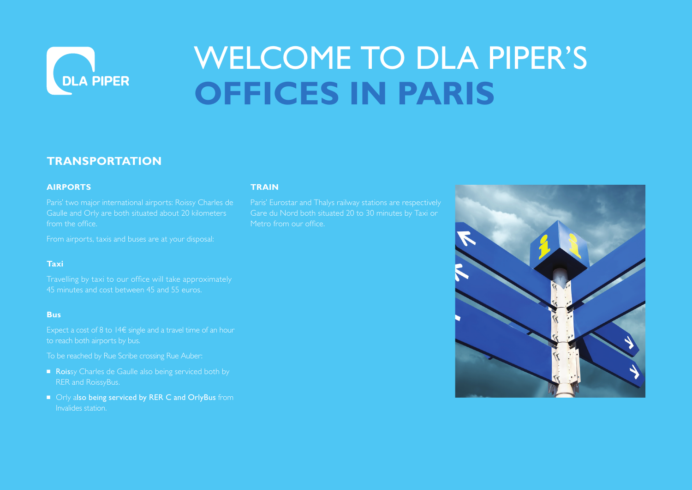

# WELCOME TO DLA PIPER'S **OFFICES IN PARIS**

### **TRANSPORTATION**

### **AIRPORTS**

Paris' two major international airports: Roissy Charles de Gaulle and Orly are both situated about 20 kilometers from the office.

From airports, taxis and buses are at your disposal:

### **Taxi**

Travelling by taxi to our office will take approximately 45 minutes and cost between 45 and 55 euros.

#### **Bus**

Expect a cost of 8 to 14€ single and a travel time of an hour

To be reached by Rue Scribe crossing Rue Auber:

- Roissy Charles de Gaulle also being serviced both by RER and RoissyBus.
- Orly also being serviced by RER C and OrlyBus from Invalides station.

### **TRAIN**

Paris' Eurostar and Thalys railway stations are respectively Gare du Nord both situated 20 to 30 minutes by Taxi or Metro from our office.